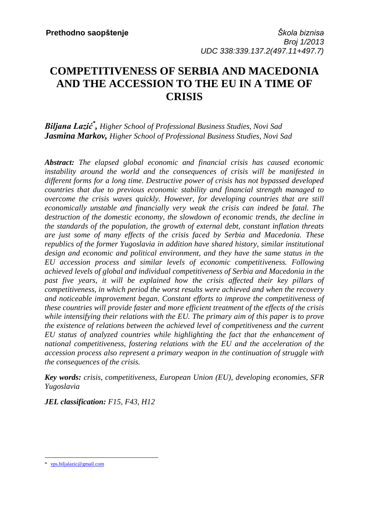*Biljana Lazić\* , Higher School of Professional Business Studies, Novi Sad Jasmina Markov, Higher School of Professional Business Studies, Novi Sad*

*Abstract: The elapsed global economic and financial crisis has caused economic instability around the world and the consequences of crisis will be manifested in different forms for a long time. Destructive power of crisis has not bypassed developed countries that due to previous economic stability and financial strength managed to overcome the crisis waves quickly. However, for developing countries that are still economically unstable and financially very weak the crisis can indeed be fatal. The destruction of the domestic economy, the slowdown of economic trends, the decline in the standards of the population, the growth of external debt, constant inflation threats are just some of many effects of the crisis faced by Serbia and Macedonia. These republics of the former Yugoslavia in addition have shared history, similar institutional design and economic and political environment, and they have the same status in the EU accession process and similar levels of economic competitiveness. Following achieved levels of global and individual competitiveness of Serbia and Macedonia in the past five years, it will be explained how the crisis affected their key pillars of competitiveness, in which period the worst results were achieved and when the recovery and noticeable improvement began. Constant efforts to improve the competitiveness of these countries will provide faster and more efficient treatment of the effects of the crisis while intensifying their relations with the EU. The primary aim of this paper is to prove the existence of relations between the achieved level of competitiveness and the current EU status of analyzed countries while highlighting the fact that the enhancement of national competitiveness, fostering relations with the EU and the acceleration of the accession process also represent a primary weapon in the continuation of struggle with the consequences of the crisis.*

*Key words: crisis, competitiveness, European Union (EU), developing economies, SFR Yugoslavia*

*JEL classification: F15, F43, H12*

 $\overline{a}$ \* [vps.biljalazic@gmail.com](mailto:vps.biljalazic@gmail.com)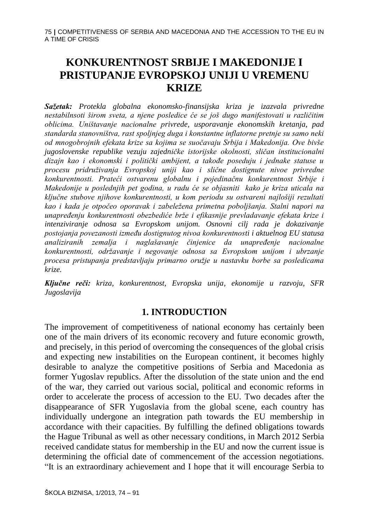# **KONKURENTNOST SRBIJE I MAKEDONIJE I PRISTUPANJE EVROPSKOJ UNIJI U VREMENU KRIZE**

*Sažetak: Protekla globalna ekonomsko-finansijska kriza je izazvala privredne nestabilnsoti širom sveta, a njene posledice će se još dugo manifestovati u različitim oblicima. Uništavanje nacionalne privrede, usporavanje ekonomskih kretanja, pad standarda stanovništva, rast spoljnjeg duga i konstantne inflatorne pretnje su samo neki od mnogobrojnih efekata krize sa kojima se suočavaju Srbija i Makedonija. Ove bivše jugoslovenske republike vezuju zajedničke istorijske okolnosti, sličan institucionalni dizajn kao i ekonomski i politički ambijent, a takođe poseduju i jednake statuse u procesu pridruživanja Evropskoj uniji kao i slične dostignute nivoe privredne konkurentnosti. Prateći ostvarenu globalnu i pojedinačnu konkurentnost Srbije i Makedonije u poslednjih pet godina, u radu će se objasniti kako je kriza uticala na ključne stubove njihove konkurentnosti, u kom periodu su ostvareni najlošiji rezultati kao i kada je otpočeo oporavak i zabeležena primetna poboljšanja. Stalni napori na unapređenju konkurentnosti obezbediće brže i efikasnije prevladavanje efekata krize i intenziviranje odnosa sa Evropskom unijom. Osnovni cilj rada je dokazivanje postojanja povezanosti između dostignutog nivoa konkurentnosti i aktuelnog EU statusa analiziranih zemalja i naglašavanje činjenice da unapređenje nacionalne konkurentnosti, održavanje i negovanje odnosa sa Evropskom unijom i ubrzanje procesa pristupanja predstavljaju primarno oružje u nastavku borbe sa posledicama krize.*

*Ključne reči: kriza, konkurentnost, Evropska unija, ekonomije u razvoju, SFR Jugoslavija* 

## **1. INTRODUCTION**

The improvement of competitiveness of national economy has certainly been one of the main drivers of its economic recovery and future economic growth, and precisely, in this period of overcoming the consequences of the global crisis and expecting new instabilities on the European continent, it becomes highly desirable to analyze the competitive positions of Serbia and Macedonia as former Yugoslav republics. After the dissolution of the state union and the end of the war, they carried out various social, political and economic reforms in order to accelerate the process of accession to the EU. Two decades after the disappearance of SFR Yugoslavia from the global scene, each country has individually undergone an integration path towards the EU membership in accordance with their capacities. By fulfilling the defined obligations towards the Hague Tribunal as well as other necessary conditions, in March 2012 Serbia received candidate status for membership in the EU and now the current issue is determining the official date of commencement of the accession negotiations. "It is an extraordinary achievement and I hope that it will encourage Serbia to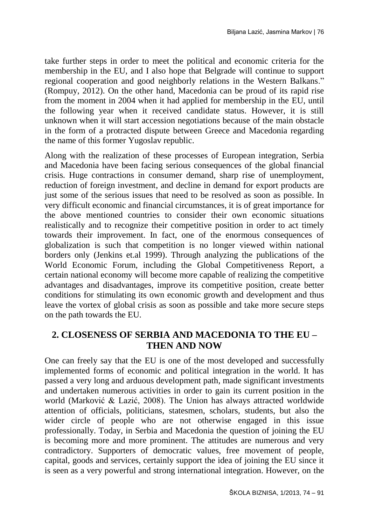take further steps in order to meet the political and economic criteria for the membership in the EU, and I also hope that Belgrade will continue to support regional cooperation and good neighborly relations in the Western Balkans." (Rompuy, 2012). On the other hand, Macedonia can be proud of its rapid rise from the moment in 2004 when it had applied for membership in the EU, until the following year when it received candidate status. However, it is still unknown when it will start accession negotiations because of the main obstacle in the form of a protracted dispute between Greece and Macedonia regarding the name of this former Yugoslav republic.

Along with the realization of these processes of European integration, Serbia and Macedonia have been facing serious consequences of the global financial crisis. Huge contractions in consumer demand, sharp rise of unemployment, reduction of foreign investment, and decline in demand for export products are just some of the serious issues that need to be resolved as soon as possible. In very difficult economic and financial circumstances, it is of great importance for the above mentioned countries to consider their own economic situations realistically and to recognize their competitive position in order to act timely towards their improvement. In fact, one of the enormous consequences of globalization is such that competition is no longer viewed within national borders only (Jenkins et.al 1999). Through analyzing the publications of the World Economic Forum, including the Global Competitiveness Report, a certain national economy will become more capable of realizing the competitive advantages and disadvantages, improve its competitive position, create better conditions for stimulating its own economic growth and development and thus leave the vortex of global crisis as soon as possible and take more secure steps on the path towards the EU.

# **2. CLOSENESS OF SERBIA AND MACEDONIA TO THE EU – THEN AND NOW**

One can freely say that the EU is one of the most developed and successfully implemented forms of economic and political integration in the world. It has passed a very long and arduous development path, made significant investments and undertaken numerous activities in order to gain its current position in the world (Marković & Lazić, 2008). The Union has always attracted worldwide attention of officials, politicians, statesmen, scholars, students, but also the wider circle of people who are not otherwise engaged in this issue professionally. Today, in Serbia and Macedonia the question of joining the EU is becoming more and more prominent. The attitudes are numerous and very contradictory. Supporters of democratic values, free movement of people, capital, goods and services, certainly support the idea of joining the EU since it is seen as a very powerful and strong international integration. However, on the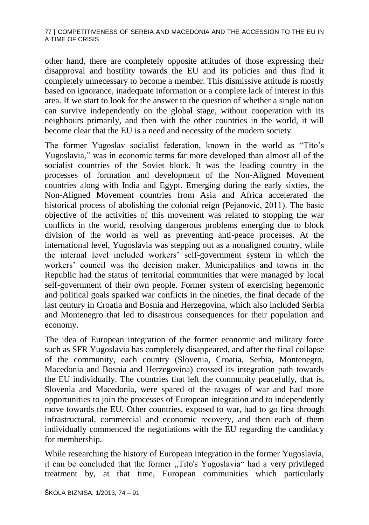other hand, there are completely opposite attitudes of those expressing their disapproval and hostility towards the EU and its policies and thus find it completely unnecessary to become a member. This dismissive attitude is mostly based on ignorance, inadequate information or a complete lack of interest in this area. If we start to look for the answer to the question of whether a single nation can survive independently on the global stage, without cooperation with its neighbours primarily, and then with the other countries in the world, it will become clear that the EU is a need and necessity of the modern society.

The former Yugoslav socialist federation, known in the world as "Tito's Yugoslavia," was in economic terms far more developed than almost all of the socialist countries of the Soviet block. It was the leading country in the processes of formation and development of the Non-Aligned Movement countries along with India and Egypt. Emerging during the early sixties, the Non-Aligned Movement countries from Asia and Africa accelerated the historical process of abolishing the colonial reign (Pejanović, 2011). The basic objective of the activities of this movement was related to stopping the war conflicts in the world, resolving dangerous problems emerging due to block division of the world as well as preventing anti-peace processes. At the international level, Yugoslavia was stepping out as a nonaligned country, while the internal level included workers' self-government system in which the workers' council was the decision maker. Municipalities and towns in the Republic had the status of territorial communities that were managed by local self-government of their own people. Former system of exercising hegemonic and political goals sparked war conflicts in the nineties, the final decade of the last century in Croatia and Bosnia and Herzegovina, which also included Serbia and Montenegro that led to disastrous consequences for their population and economy.

The idea of European integration of the former economic and military force such as SFR Yugoslavia has completely disappeared, and after the final collapse of the community, each country (Slovenia, Croatia, Serbia, Montenegro, Macedonia and Bosnia and Herzegovina) crossed its integration path towards the EU individually. The countries that left the community peacefully, that is, Slovenia and Macedonia, were spared of the ravages of war and had more opportunities to join the processes of European integration and to independently move towards the EU. Other countries, exposed to war, had to go first through infrastructural, commercial and economic recovery, and then each of them individually commenced the negotiations with the EU regarding the candidacy for membership.

While researching the history of European integration in the former Yugoslavia, it can be concluded that the former "Tito's Yugoslavia" had a very privileged treatment by, at that time, European communities which particularly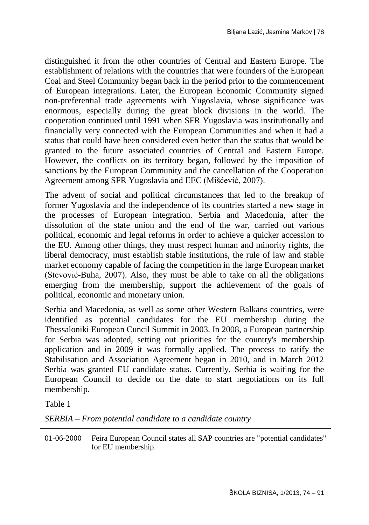distinguished it from the other countries of Central and Eastern Europe. The establishment of relations with the countries that were founders of the European Coal and Steel Community began back in the period prior to the commencement of European integrations. Later, the European Economic Community signed non-preferential trade agreements with Yugoslavia, whose significance was enormous, especially during the great block divisions in the world. The cooperation continued until 1991 when SFR Yugoslavia was institutionally and financially very connected with the European Communities and when it had a status that could have been considered even better than the status that would be granted to the future associated countries of Central and Eastern Europe. However, the conflicts on its territory began, followed by the imposition of sanctions by the European Community and the cancellation of the Cooperation Agreement among SFR Yugoslavia and EEC (Mišćević, 2007).

The advent of social and political circumstances that led to the breakup of former Yugoslavia and the independence of its countries started a new stage in the processes of European integration. Serbia and Macedonia, after the dissolution of the state union and the end of the war, carried out various political, economic and legal reforms in order to achieve a quicker accession to the EU. Among other things, they must respect human and minority rights, the liberal democracy, must establish stable institutions, the rule of law and stable market economy capable of facing the competition in the large European market (Stevović-Buha, 2007). Also, they must be able to take on all the obligations emerging from the membership, support the achievement of the goals of political, economic and monetary union.

Serbia and Macedonia, as well as some other Western Balkans countries, were identified as potential candidates for the EU membership during the Thessaloniki European Cuncil Summit in 2003. In 2008, a European partnership for Serbia was adopted, setting out priorities for the country's membership application and in 2009 it was formally applied. The process to ratify the Stabilisation and Association Agreement began in 2010, and in March 2012 Serbia was granted EU candidate status. Currently, Serbia is waiting for the European Council to decide on the date to start negotiations on its full membership.

Table 1

*SERBIA – From potential candidate to a candidate country*

01-06-2000 Feira European Council states all SAP countries are "potential candidates" for EU membership.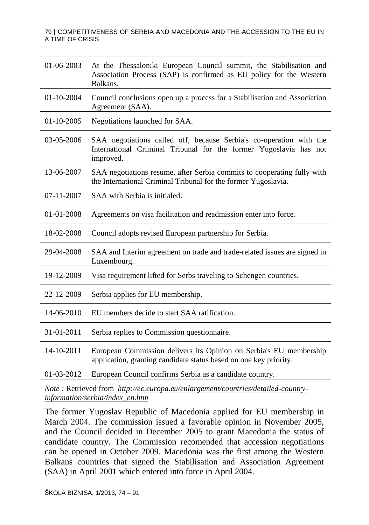| 01-06-2003       | At the Thessaloniki European Council summit, the Stabilisation and<br>Association Process (SAP) is confirmed as EU policy for the Western<br>Balkans. |
|------------------|-------------------------------------------------------------------------------------------------------------------------------------------------------|
| $01 - 10 - 2004$ | Council conclusions open up a process for a Stabilisation and Association<br>Agreement (SAA).                                                         |
| $01 - 10 - 2005$ | Negotiations launched for SAA.                                                                                                                        |
| 03-05-2006       | SAA negotiations called off, because Serbia's co-operation with the<br>International Criminal Tribunal for the former Yugoslavia has not<br>improved. |
| 13-06-2007       | SAA negotiations resume, after Serbia commits to cooperating fully with<br>the International Criminal Tribunal for the former Yugoslavia.             |
| $07 - 11 - 2007$ | SAA with Serbia is initialed.                                                                                                                         |
| 01-01-2008       | Agreements on visa facilitation and readmission enter into force.                                                                                     |
| 18-02-2008       | Council adopts revised European partnership for Serbia.                                                                                               |
| 29-04-2008       | SAA and Interim agreement on trade and trade-related issues are signed in<br>Luxembourg.                                                              |
| 19-12-2009       | Visa requirement lifted for Serbs traveling to Schengen countries.                                                                                    |
| 22-12-2009       | Serbia applies for EU membership.                                                                                                                     |
| 14-06-2010       | EU members decide to start SAA ratification.                                                                                                          |
| 31-01-2011       | Serbia replies to Commission questionnaire.                                                                                                           |
| 14-10-2011       | European Commission delivers its Opinion on Serbia's EU membership<br>application, granting candidate status based on one key priority.               |
| 01-03-2012       | European Council confirms Serbia as a candidate country.                                                                                              |

*Note :* Retrieved from *[http://ec.europa.eu/enlargement/countries/detailed-country](http://ec.europa.eu/enlargement/countries/detailed-country-information/serbia/index_en.htm)[information/serbia/index\\_en.htm](http://ec.europa.eu/enlargement/countries/detailed-country-information/serbia/index_en.htm)*

The former Yugoslav Republic of Macedonia applied for EU membership in March 2004. The commission issued a favorable opinion in November 2005, and the Council decided in December 2005 to grant Macedonia the status of candidate country. The Commission recomended that accession negotiations can be opened in October 2009. Macedonia was the first among the Western Balkans countries that signed the Stabilisation and Association Agreement (SAA) in April 2001 which entered into force in April 2004.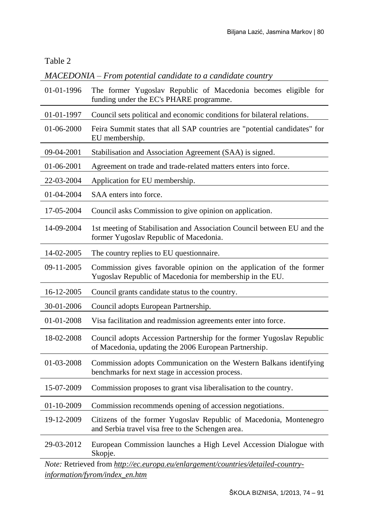#### Table 2

## *MACEDONIA – From potential candidate to a candidate country*

| 01-01-1996 | The former Yugoslav Republic of Macedonia becomes eligible for<br>funding under the EC's PHARE programme.                       |
|------------|---------------------------------------------------------------------------------------------------------------------------------|
| 01-01-1997 | Council sets political and economic conditions for bilateral relations.                                                         |
| 01-06-2000 | Feira Summit states that all SAP countries are "potential candidates" for<br>EU membership.                                     |
| 09-04-2001 | Stabilisation and Association Agreement (SAA) is signed.                                                                        |
| 01-06-2001 | Agreement on trade and trade-related matters enters into force.                                                                 |
| 22-03-2004 | Application for EU membership.                                                                                                  |
| 01-04-2004 | SAA enters into force.                                                                                                          |
| 17-05-2004 | Council asks Commission to give opinion on application.                                                                         |
| 14-09-2004 | 1st meeting of Stabilisation and Association Council between EU and the<br>former Yugoslav Republic of Macedonia.               |
| 14-02-2005 | The country replies to EU questionnaire.                                                                                        |
| 09-11-2005 | Commission gives favorable opinion on the application of the former<br>Yugoslav Republic of Macedonia for membership in the EU. |
| 16-12-2005 | Council grants candidate status to the country.                                                                                 |
| 30-01-2006 | Council adopts European Partnership.                                                                                            |
| 01-01-2008 | Visa facilitation and readmission agreements enter into force.                                                                  |
| 18-02-2008 | Council adopts Accession Partnership for the former Yugoslav Republic<br>of Macedonia, updating the 2006 European Partnership.  |
| 01-03-2008 | Commission adopts Communication on the Western Balkans identifying<br>benchmarks for next stage in accession process.           |
| 15-07-2009 | Commission proposes to grant visa liberalisation to the country.                                                                |
| 01-10-2009 | Commission recommends opening of accession negotiations.                                                                        |
| 19-12-2009 | Citizens of the former Yugoslav Republic of Macedonia, Montenegro<br>and Serbia travel visa free to the Schengen area.          |
| 29-03-2012 | European Commission launches a High Level Accession Dialogue with<br>Skopje.                                                    |
|            | Note: Retrieved from http://ec.europa.eu/enlargement/countries/detailed-country-                                                |

*[information/fyrom/index\\_en.htm](http://ec.europa.eu/enlargement/countries/detailed-country-information/fyrom/index_en.htm)*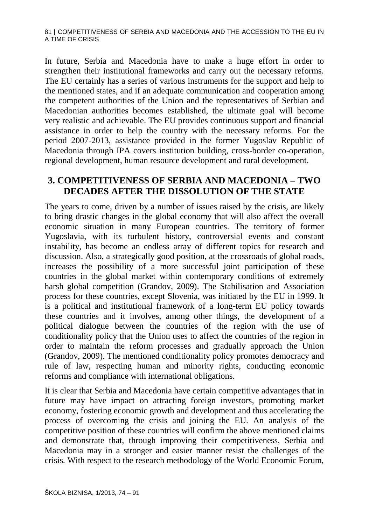In future, Serbia and Macedonia have to make a huge effort in order to strengthen their institutional frameworks and carry out the necessary reforms. The EU certainly has a series of various instruments for the support and help to the mentioned states, and if an adequate communication and cooperation among the competent authorities of the Union and the representatives of Serbian and Macedonian authorities becomes established, the ultimate goal will become very realistic and achievable. The EU provides continuous support and financial assistance in order to help the country with the necessary reforms. For the period 2007-2013, assistance provided in the former Yugoslav Republic of Macedonia through IPA covers institution building, cross-border co-operation, regional development, human resource development and rural development.

## **3. COMPETITIVENESS OF SERBIA AND MACEDONIA – TWO DECADES AFTER THE DISSOLUTION OF THE STATE**

The years to come, driven by a number of issues raised by the crisis, are likely to bring drastic changes in the global economy that will also affect the overall economic situation in many European countries. The territory of former Yugoslavia, with its turbulent history, controversial events and constant instability, has become an endless array of different topics for research and discussion. Also, a strategically good position, at the crossroads of global roads, increases the possibility of a more successful joint participation of these countries in the global market within contemporary conditions of extremely harsh global competition (Grandov, 2009). The Stabilisation and Association process for these countries, except Slovenia, was initiated by the EU in 1999. It is a political and institutional framework of a long-term EU policy towards these countries and it involves, among other things, the development of a political dialogue between the countries of the region with the use of conditionality policy that the Union uses to affect the countries of the region in order to maintain the reform processes and gradually approach the Union (Grandov, 2009). The mentioned conditionality policy promotes democracy and rule of law, respecting human and minority rights, conducting economic reforms and compliance with international obligations.

It is clear that Serbia and Macedonia have certain competitive advantages that in future may have impact on attracting foreign investors, promoting market economy, fostering economic growth and development and thus accelerating the process of overcoming the crisis and joining the EU. An analysis of the competitive position of these countries will confirm the above mentioned claims and demonstrate that, through improving their competitiveness, Serbia and Macedonia may in a stronger and easier manner resist the challenges of the crisis. With respect to the research methodology of the World Economic Forum,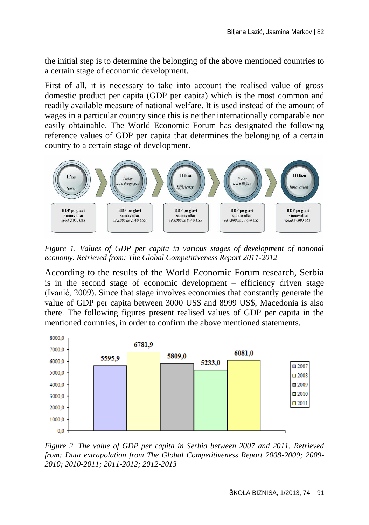the initial step is to determine the belonging of the above mentioned countries to a certain stage of economic development.

First of all, it is necessary to take into account the realised value of gross domestic product per capita (GDP per capita) which is the most common and readily available measure of national welfare. It is used instead of the amount of wages in a particular country since this is neither internationally comparable nor easily obtainable. The World Economic Forum has designated the following reference values of GDP per capita that determines the belonging of a certain country to a certain stage of development.



*Figure 1. Values of GDP per capita in various stages of development of national economy. Retrieved from: The Global Competitiveness Report 2011-2012*

According to the results of the World Economic Forum research, Serbia is in the second stage of economic development – efficiency driven stage (Ivanić, 2009). Since that stage involves economies that constantly generate the value of GDP per capita between 3000 US\$ and 8999 US\$, Macedonia is also there. The following figures present realised values of GDP per capita in the mentioned countries, in order to confirm the above mentioned statements.



*Figure 2. The value of GDP per capita in Serbia between 2007 and 2011. Retrieved from: Data extrapolation from The Global Competitiveness Report 2008-2009; 2009- 2010; 2010-2011; 2011-2012; 2012-2013*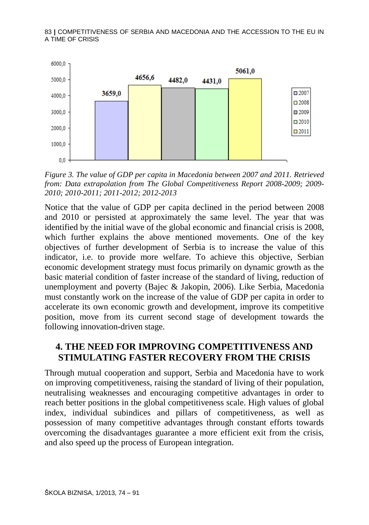

*Figure 3. The value of GDP per capita in Macedonia between 2007 and 2011. Retrieved from: Data extrapolation from The Global Competitiveness Report 2008-2009; 2009- 2010; 2010-2011; 2011-2012; 2012-2013*

Notice that the value of GDP per capita declined in the period between 2008 and 2010 or persisted at approximately the same level. The year that was identified by the initial wave of the global economic and financial crisis is 2008, which further explains the above mentioned movements. One of the key objectives of further development of Serbia is to increase the value of this indicator, i.e. to provide more welfare. To achieve this objective, Serbian economic development strategy must focus primarily on dynamic growth as the basic material condition of faster increase of the standard of living, reduction of unemployment and poverty (Bajec & Jakopin, 2006). Like Serbia, Macedonia must constantly work on the increase of the value of GDP per capita in order to accelerate its own economic growth and development, improve its competitive position, move from its current second stage of development towards the following innovation-driven stage.

# **4. THE NEED FOR IMPROVING COMPETITIVENESS AND STIMULATING FASTER RECOVERY FROM THE CRISIS**

Through mutual cooperation and support, Serbia and Macedonia have to work on improving competitiveness, raising the standard of living of their population, neutralising weaknesses and encouraging competitive advantages in order to reach better positions in the global competitiveness scale. High values of global index, individual subindices and pillars of competitiveness, as well as possession of many competitive advantages through constant efforts towards overcoming the disadvantages guarantee a more efficient exit from the crisis, and also speed up the process of European integration.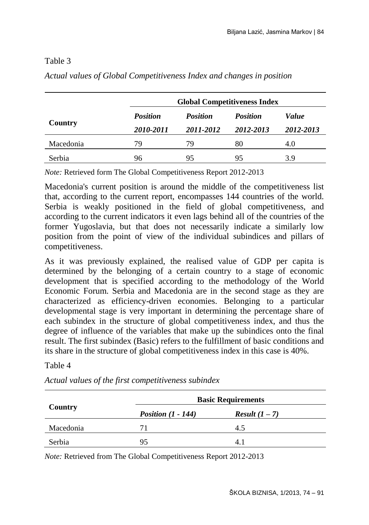## Table 3

|           | <b>Global Competitiveness Index</b> |           |                 |           |  |
|-----------|-------------------------------------|-----------|-----------------|-----------|--|
|           | <b>Position</b><br><b>Position</b>  |           | <b>Position</b> | Value     |  |
| Country   | 2010-2011                           | 2011-2012 | 2012-2013       | 2012-2013 |  |
| Macedonia | 79                                  | 79        | 80              | 4.0       |  |
| Serbia    | 96                                  | 95        | 95              | 3.9       |  |

*Actual values of Global Competitiveness Index and changes in position*

*Note:* Retrieved form The Global Competitiveness Report 2012-2013

Macedonia's current position is around the middle of the competitiveness list that, according to the current report, encompasses 144 countries of the world. Serbia is weakly positioned in the field of global competitiveness, and according to the current indicators it even lags behind all of the countries of the former Yugoslavia, but that does not necessarily indicate a similarly low position from the point of view of the individual subindices and pillars of competitiveness.

As it was previously explained, the realised value of GDP per capita is determined by the belonging of a certain country to a stage of economic development that is specified according to the methodology of the World Economic Forum. Serbia and Macedonia are in the second stage as they are characterized as efficiency-driven economies. Belonging to a particular developmental stage is very important in determining the percentage share of each subindex in the structure of global competitiveness index, and thus the degree of influence of the variables that make up the subindices onto the final result. The first subindex (Basic) refers to the fulfillment of basic conditions and its share in the structure of global competitiveness index in this case is 40%.

#### Table 4

|           | <b>Basic Requirements</b> |                         |  |  |
|-----------|---------------------------|-------------------------|--|--|
| Country   | Position $(1 - 144)$      | <i>Result</i> $(1 – 7)$ |  |  |
| Macedonia | 71                        | 4.5                     |  |  |
| Serbia    | 95                        |                         |  |  |

*Actual values of the first competitiveness subindex*

*Note:* Retrieved from The Global Competitiveness Report 2012-2013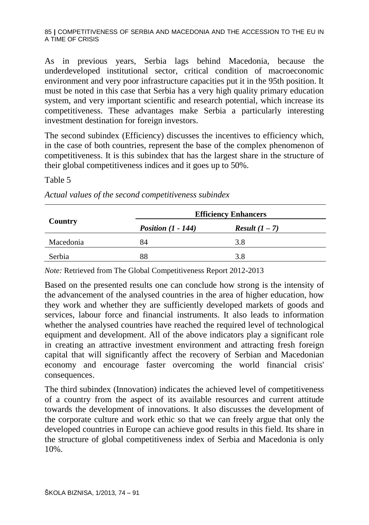As in previous years, Serbia lags behind Macedonia, because the underdeveloped institutional sector, critical condition of macroeconomic environment and very poor infrastructure capacities put it in the 95th position. It must be noted in this case that Serbia has a very high quality primary education system, and very important scientific and research potential, which increase its competitiveness. These advantages make Serbia a particularly interesting investment destination for foreign investors.

The second subindex (Efficiency) discusses the incentives to efficiency which, in the case of both countries, represent the base of the complex phenomenon of competitiveness. It is this subindex that has the largest share in the structure of their global competitiveness indices and it goes up to 50%.

#### Table 5

| Country   | <b>Efficiency Enhancers</b> |                         |  |
|-----------|-----------------------------|-------------------------|--|
|           | Position $(1 - 144)$        | <i>Result</i> $(1 – 7)$ |  |
| Macedonia | 84                          | 3.8                     |  |
| Serbia    | 88                          | 3.8                     |  |

*Actual values of the second competitiveness subindex*

*Note:* Retrieved from The Global Competitiveness Report 2012-2013

Based on the presented results one can conclude how strong is the intensity of the advancement of the analysed countries in the area of higher education, how they work and whether they are sufficiently developed markets of goods and services, labour force and financial instruments. It also leads to information whether the analysed countries have reached the required level of technological equipment and development. All of the above indicators play a significant role in creating an attractive investment environment and attracting fresh foreign capital that will significantly affect the recovery of Serbian and Macedonian economy and encourage faster overcoming the world financial crisis' consequences.

The third subindex (Innovation) indicates the achieved level of competitiveness of a country from the aspect of its available resources and current attitude towards the development of innovations. It also discusses the development of the corporate culture and work ethic so that we can freely argue that only the developed countries in Europe can achieve good results in this field. Its share in the structure of global competitiveness index of Serbia and Macedonia is only 10%.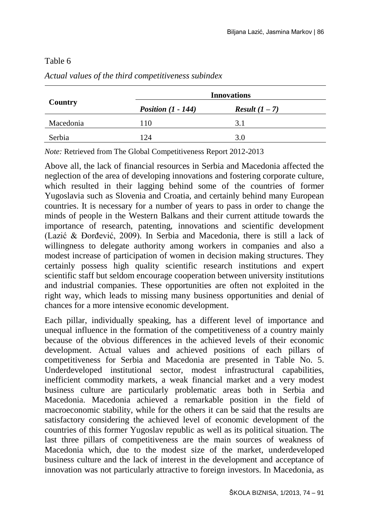### Table 6

|           | <b>Innovations</b>   |                         |  |  |
|-----------|----------------------|-------------------------|--|--|
| Country   | Position $(1 - 144)$ | <i>Result</i> $(1 – 7)$ |  |  |
| Macedonia | 110                  | 3.1                     |  |  |
| Serbia    | 124                  | 3.0                     |  |  |

#### *Actual values of the third competitiveness subindex*

*Note:* Retrieved from The Global Competitiveness Report 2012-2013

Above all, the lack of financial resources in Serbia and Macedonia affected the neglection of the area of developing innovations and fostering corporate culture, which resulted in their lagging behind some of the countries of former Yugoslavia such as Slovenia and Croatia, and certainly behind many European countries. It is necessary for a number of years to pass in order to change the minds of people in the Western Balkans and their current attitude towards the importance of research, patenting, innovations and scientific development (Lazić & Đorđević, 2009). In Serbia and Macedonia, there is still a lack of willingness to delegate authority among workers in companies and also a modest increase of participation of women in decision making structures. They certainly possess high quality scientific research institutions and expert scientific staff but seldom encourage cooperation between university institutions and industrial companies. These opportunities are often not exploited in the right way, which leads to missing many business opportunities and denial of chances for a more intensive economic development.

Each pillar, individually speaking, has a different level of importance and unequal influence in the formation of the competitiveness of a country mainly because of the obvious differences in the achieved levels of their economic development. Actual values and achieved positions of each pillars of competitiveness for Serbia and Macedonia are presented in Table No. 5. Underdeveloped institutional sector, modest infrastructural capabilities, inefficient commodity markets, a weak financial market and a very modest business culture are particularly problematic areas both in Serbia and Macedonia. Macedonia achieved a remarkable position in the field of macroeconomic stability, while for the others it can be said that the results are satisfactory considering the achieved level of economic development of the countries of this former Yugoslav republic as well as its political situation. The last three pillars of competitiveness are the main sources of weakness of Macedonia which, due to the modest size of the market, underdeveloped business culture and the lack of interest in the development and acceptance of innovation was not particularly attractive to foreign investors. In Macedonia, as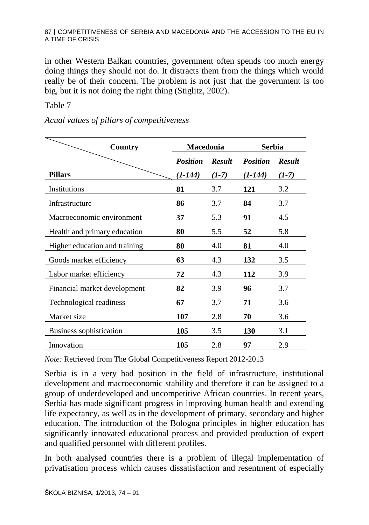in other Western Balkan countries, government often spends too much energy doing things they should not do. It distracts them from the things which would really be of their concern. The problem is not just that the government is too big, but it is not doing the right thing (Stiglitz, 2002).

Table 7

*Acual values of pillars of competitiveness*

| Country                       | <b>Macedonia</b> |               | <b>Serbia</b>   |               |
|-------------------------------|------------------|---------------|-----------------|---------------|
|                               | <b>Position</b>  | <b>Result</b> | <b>Position</b> | <b>Result</b> |
| <b>Pillars</b>                | (1-144)          | $(1-7)$       | $(1-144)$       | $(1-7)$       |
| Institutions                  | 81               | 3.7           | 121             | 3.2           |
| Infrastructure                | 86               | 3.7           | 84              | 3.7           |
| Macroeconomic environment     | 37               | 5.3           | 91              | 4.5           |
| Health and primary education  | 80               | 5.5           | 52              | 5.8           |
| Higher education and training | 80               | 4.0           | 81              | 4.0           |
| Goods market efficiency       | 63               | 4.3           | 132             | 3.5           |
| Labor market efficiency       | 72               | 4.3           | 112             | 3.9           |
| Financial market development  | 82               | 3.9           | 96              | 3.7           |
| Technological readiness       | 67               | 3.7           | 71              | 3.6           |
| Market size                   | 107              | 2.8           | 70              | 3.6           |
| Business sophistication       | 105              | 3.5           | <b>130</b>      | 3.1           |
| Innovation                    | 105              | 2.8           | 97              | 2.9           |

*Note:* Retrieved from The Global Competitiveness Report 2012-2013

Serbia is in a very bad position in the field of infrastructure, institutional development and macroeconomic stability and therefore it can be assigned to a group of underdeveloped and uncompetitive African countries. In recent years, Serbia has made significant progress in improving human health and extending life expectancy, as well as in the development of primary, secondary and higher education. The introduction of the Bologna principles in higher education has significantly innovated educational process and provided production of expert and qualified personnel with different profiles.

In both analysed countries there is a problem of illegal implementation of privatisation process which causes dissatisfaction and resentment of especially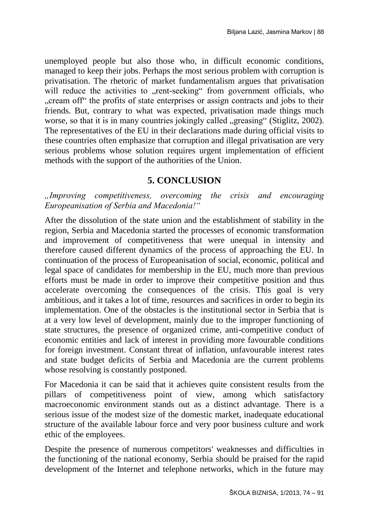unemployed people but also those who, in difficult economic conditions, managed to keep their jobs. Perhaps the most serious problem with corruption is privatisation. The rhetoric of market fundamentalism argues that privatisation will reduce the activities to "rent-seeking" from government officials, who "cream off" the profits of state enterprises or assign contracts and jobs to their friends. But, contrary to what was expected, privatisation made things much worse, so that it is in many countries jokingly called "greasing" (Stiglitz, 2002). The representatives of the EU in their declarations made during official visits to these countries often emphasize that corruption and illegal privatisation are very serious problems whose solution requires urgent implementation of efficient methods with the support of the authorities of the Union.

## **5. CONCLUSION**

*"Improving competitiveness, overcoming the crisis and encouraging Europeanisation of Serbia and Macedonia!"*

After the dissolution of the state union and the establishment of stability in the region, Serbia and Macedonia started the processes of economic transformation and improvement of competitiveness that were unequal in intensity and therefore caused different dynamics of the process of approaching the EU. In continuation of the process of Europeanisation of social, economic, political and legal space of candidates for membership in the EU, much more than previous efforts must be made in order to improve their competitive position and thus accelerate overcoming the consequences of the crisis. This goal is very ambitious, and it takes a lot of time, resources and sacrifices in order to begin its implementation. One of the obstacles is the institutional sector in Serbia that is at a very low level of development, mainly due to the improper functioning of state structures, the presence of organized crime, anti-competitive conduct of economic entities and lack of interest in providing more favourable conditions for foreign investment. Constant threat of inflation, unfavourable interest rates and state budget deficits of Serbia and Macedonia are the current problems whose resolving is constantly postponed.

For Macedonia it can be said that it achieves quite consistent results from the pillars of competitiveness point of view, among which satisfactory macroeconomic environment stands out as a distinct advantage. There is a serious issue of the modest size of the domestic market, inadequate educational structure of the available labour force and very poor business culture and work ethic of the employees.

Despite the presence of numerous competitors' weaknesses and difficulties in the functioning of the national economy, Serbia should be praised for the rapid development of the Internet and telephone networks, which in the future may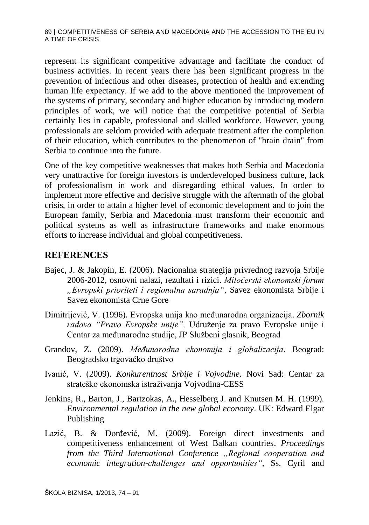represent its significant competitive advantage and facilitate the conduct of business activities. In recent years there has been significant progress in the prevention of infectious and other diseases, protection of health and extending human life expectancy. If we add to the above mentioned the improvement of the systems of primary, secondary and higher education by introducing modern principles of work, we will notice that the competitive potential of Serbia certainly lies in capable, professional and skilled workforce. However, young professionals are seldom provided with adequate treatment after the completion of their education, which contributes to the phenomenon of "brain drain" from Serbia to continue into the future.

One of the key competitive weaknesses that makes both Serbia and Macedonia very unattractive for foreign investors is underdeveloped business culture, lack of professionalism in work and disregarding ethical values. In order to implement more effective and decisive struggle with the aftermath of the global crisis, in order to attain a higher level of economic development and to join the European family, Serbia and Macedonia must transform their economic and political systems as well as infrastructure frameworks and make enormous efforts to increase individual and global competitiveness.

## **REFERENCES**

- Bajec, J. & Jakopin, E. (2006). Nacionalna strategija privrednog razvoja Srbije 2006-2012, osnovni nalazi, rezultati i rizici. *Miločerski ekonomski forum "Evropski prioriteti i regionalna saradnja"*, Savez ekonomista Srbije i Savez ekonomista Crne Gore
- Dimitrijević, V. (1996). Evropska unija kao međunarodna organizacija. *Zbornik radova "Pravo Evropske unije",* Udruženje za pravo Evropske unije i Centar za međunarodne studije, JP Službeni glasnik, Beograd
- Grandov, Z. (2009). *Međunarodna ekonomija i globalizacija*. Beograd: Beogradsko trgovačko društvo
- Ivanić, V. (2009). *Konkurentnost Srbije i Vojvodine.* Novi Sad: Centar za strateško ekonomska istraživanja Vojvodina-CESS
- Jenkins, R., Barton, J., Bartzokas, A., Hesselberg J. and Knutsen M. H. (1999). *Environmental regulation in the new global economy*. UK: Edward Elgar Publishing
- Lazić, B. & Đorđević, M. (2009). Foreign direct investments and competitiveness enhancement of West Balkan countries. *Proceedings from the Third International Conference* "Regional cooperation and *economic integration-challenges and opportunities"*, Ss. Cyril and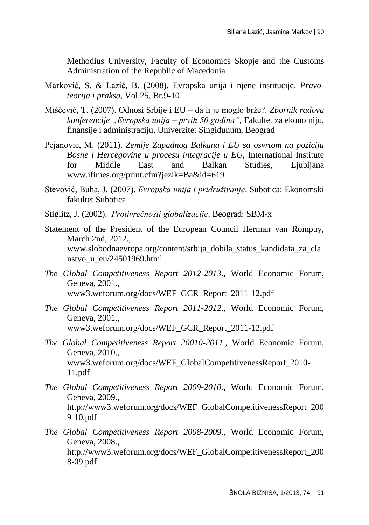Methodius University, Faculty of Economics Skopje and the Customs Administration of the Republic of Macedonia

- Marković, S. & Lazić, B. (2008). Evropska unija i njene institucije. *Pravoteorija i praksa*, Vol.25, Br.9-10
- Miščević, T. (2007). Odnosi Srbije i EU da li je moglo brže?. *Zbornik radova konferencije "Evropska unija – prvih 50 godina",* Fakultet za ekonomiju, finansije i administraciju, Univerzitet Singidunum, Beograd
- Pejanović, M. (2011). *Zemlje Zapadnog Balkana i EU sa osvrtom na poziciju Bosne i Hercegovine u procesu integracije u EU*, International Institute for Middle East and Balkan Studies, Ljubljana www.ifimes.org/print.cfm?jezik=Ba&id=619
- Stevović, Buha, J. (2007). *Evropska unija i pridruživanje*. Subotica: Ekonomski fakultet Subotica
- Stiglitz, J. (2002). *Protivrečnosti globalizacije*. Beograd: SBM-x
- Statement of the President of the European Council Herman van Rompuy, March 2nd, 2012., www.slobodnaevropa.org/content/srbija\_dobila\_status\_kandidata\_za\_cla nstvo\_u\_eu/24501969.html
- *The Global Competitiveness Report 2012-2013*., World Economic Forum, Geneva, 2001., www3.weforum.org/docs/WEF\_GCR\_Report\_2011-12.pdf
- *The Global Competitiveness Report 2011-2012*., World Economic Forum, Geneva, 2001., www3.weforum.org/docs/WEF\_GCR\_Report\_2011-12.pdf
- *The Global Competitiveness Report 20010-2011*., World Economic Forum, Geneva, 2010., www3.weforum.org/docs/WEF\_GlobalCompetitivenessReport\_2010- 11.pdf
- *The Global Competitiveness Report 2009-2010*., World Economic Forum, Geneva, 2009., http://www3.weforum.org/docs/WEF\_GlobalCompetitivenessReport\_200 9-10.pdf
- *The Global Competitiveness Report 2008-2009*., World Economic Forum, Geneva, 2008., http://www3.weforum.org/docs/WEF\_GlobalCompetitivenessReport\_200 8-09.pdf